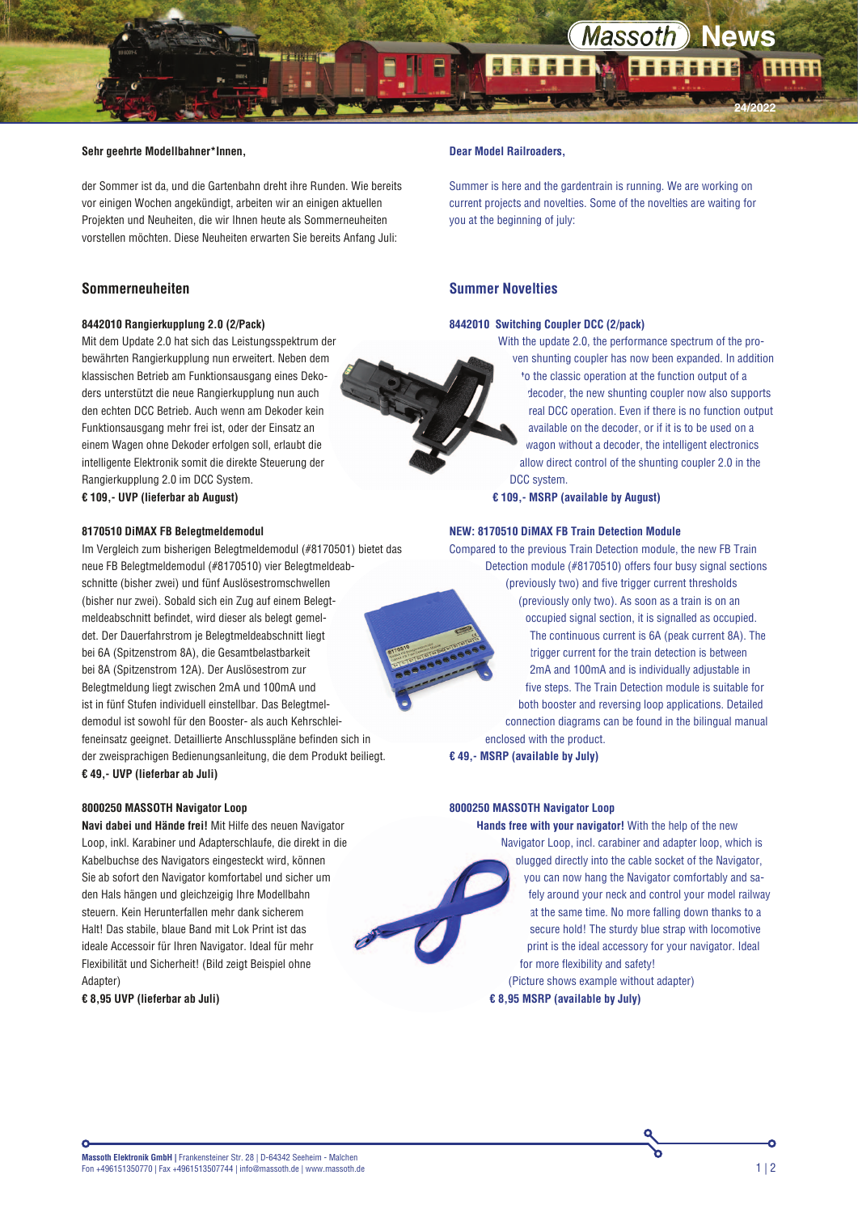**24/2022**

#### **Sehr geehrte Modellbahner\*Innen,**

der Sommer ist da, und die Gartenbahn dreht ihre Runden. Wie bereits vor einigen Wochen angekündigt, arbeiten wir an einigen aktuellen Projekten und Neuheiten, die wir Ihnen heute als Sommerneuheiten vorstellen möchten. Diese Neuheiten erwarten Sie bereits Anfang Juli:

# **Sommerneuheiten**

# **8442010 Rangierkupplung 2.0 (2/Pack)**

Mit dem Update 2.0 hat sich das Leistungsspektrum der bewährten Rangierkupplung nun erweitert. Neben dem klassischen Betrieb am Funktionsausgang eines Dekoders unterstützt die neue Rangierkupplung nun auch den echten DCC Betrieb. Auch wenn am Dekoder kein Funktionsausgang mehr frei ist, oder der Einsatz an einem Wagen ohne Dekoder erfolgen soll, erlaubt die intelligente Elektronik somit die direkte Steuerung der Rangierkupplung 2.0 im DCC System. **€ 109,- UVP (lieferbar ab August)**

# **8170510 DiMAX FB Belegtmeldemodul**

Im Vergleich zum bisherigen Belegtmeldemodul (#8170501) bietet das neue FB Belegtmeldemodul (#8170510) vier Belegtmeldeabschnitte (bisher zwei) und fünf Auslösestromschwellen (bisher nur zwei). Sobald sich ein Zug auf einem Belegtmeldeabschnitt befindet, wird dieser als belegt gemeldet. Der Dauerfahrstrom je Belegtmeldeabschnitt liegt bei 6A (Spitzenstrom 8A), die Gesamtbelastbarkeit bei 8A (Spitzenstrom 12A). Der Auslösestrom zur Belegtmeldung liegt zwischen 2mA und 100mA und ist in fünf Stufen individuell einstellbar. Das Belegtmeldemodul ist sowohl für den Booster- als auch Kehrschleifeneinsatz geeignet. Detaillierte Anschlusspläne befinden sich in der zweisprachigen Bedienungsanleitung, die dem Produkt beiliegt. **€ 49,- UVP (lieferbar ab Juli)**

#### **8000250 MASSOTH Navigator Loop**

**Navi dabei und Hände frei!** Mit Hilfe des neuen Navigator Loop, inkl. Karabiner und Adapterschlaufe, die direkt in die Kabelbuchse des Navigators eingesteckt wird, können Sie ab sofort den Navigator komfortabel und sicher um den Hals hängen und gleichzeigig Ihre Modellbahn steuern. Kein Herunterfallen mehr dank sicherem Halt! Das stabile, blaue Band mit Lok Print ist das ideale Accessoir für Ihren Navigator. Ideal für mehr Flexibilität und Sicherheit! (Bild zeigt Beispiel ohne Adapter)

**€ 8,95 UVP (lieferbar ab Juli)**

# **Dear Model Railroaders,**

Summer is here and the gardentrain is running. We are working on current projects and novelties. Some of the novelties are waiting for you at the beginning of july:

## **Summer Novelties**

# **8442010 Switching Coupler DCC (2/pack)**

With the update 2.0, the performance spectrum of the proven shunting coupler has now been expanded. In addition to the classic operation at the function output of a decoder, the new shunting coupler now also supports real DCC operation. Even if there is no function output available on the decoder, or if it is to be used on a wagon without a decoder, the intelligent electronics allow direct control of the shunting coupler 2.0 in the DCC system.

**€ 109,- MSRP (available by August)**

#### **NEW: 8170510 DiMAX FB Train Detection Module**

Compared to the previous Train Detection module, the new FB Train Detection module (#8170510) offers four busy signal sections (previously two) and five trigger current thresholds (previously only two). As soon as a train is on an occupied signal section, it is signalled as occupied. The continuous current is 6A (peak current 8A). The trigger current for the train detection is between 2mA and 100mA and is individually adjustable in five steps. The Train Detection module is suitable for both booster and reversing loop applications. Detailed connection diagrams can be found in the bilingual manual enclosed with the product. **€ 49,- MSRP (available by July)** 

**8000250 MASSOTH Navigator Loop**

**Hands free with your navigator!** With the help of the new Navigator Loop, incl. carabiner and adapter loop, which is plugged directly into the cable socket of the Navigator, you can now hang the Navigator comfortably and safely around your neck and control your model railway at the same time. No more falling down thanks to a secure hold! The sturdy blue strap with locomotive print is the ideal accessory for your navigator. Ideal for more flexibility and safety! (Picture shows example without adapter)

**€ 8,95 MSRP (available by July)**